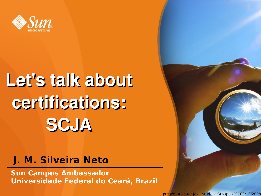

## **Let's talk about certifications: SCJA**

#### **J. M. Silveira Neto**

**Sun Campus Ambassador Universidade Federal do Ceará, Brazil**

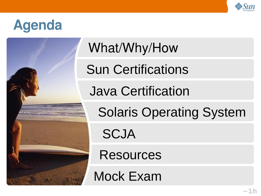

#### **Agenda**



What/Why/How

Sun Certifications

Java Certification

Solaris Operating System

**SCJA** 

Resources

Mock Exam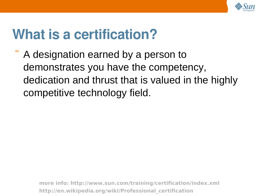

#### **What is a certification?**

A designation earned by a person to demonstrates you have the competency, dedication and thrust that is valued in the highly competitive technology field.

> **more info:<http://www.sun.com/training/certification/index.xml> http://en.wikipedia.org/wiki/Professional\_certification**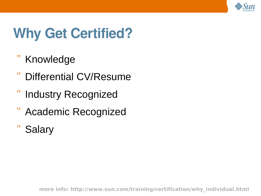

#### **Why Get Certified?**

- **Knowledge**
- Differential CV/Resume
- **Industry Recognized**
- Academic Recognized
- **Salary**

**more info: http://www.sun.com/training/certification/why\_individual.html**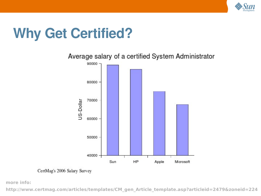

#### **Why Get Certified?**



CertMag's 2006 Salary Survey

**more info:**

**http://www.certmag.com/articles/templates/CM\_gen\_Article\_template.asp?articleid=2479&zoneid=224**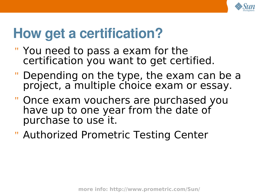

#### **How get a certification?**

- " You need to pass a exam for the certification you want to get certified.
- " Depending on the type, the exam can be a project, a multiple choice exam or essay.
- " Once exam vouchers are purchased you have up to one year from the date of purchase to use it.
- " Authorized Prometric Testing Center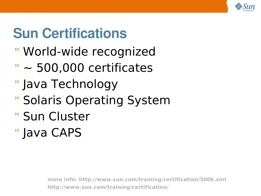

### **Sun Certifications**

- " World-wide recognized
- $" \sim 500,000$  certificates
- " Java Technology
- " Solaris Operating System
- " Sun Cluster
- " Java CAPS

**more info:<http://www.sun.com/training/certification/500k.xml> http://www.sun.com/training/certification/**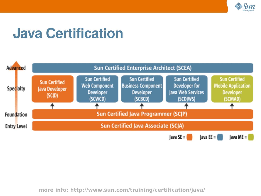

#### **Java Certification**



**more info: http://www.sun.com/training/certification/java/**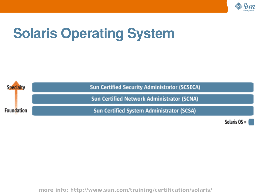

### **Solaris Operating System**



Solaris  $OS =$ 

**more info: http://www.sun.com/training/certification/solaris/**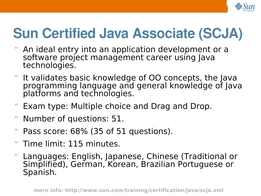

#### **Sun Certified Java Associate (SCJA)**

- An ideal entry into an application development or a software project management career using Java technologies.
- It validates basic knowledge of OO concepts, the Java programming language and general knowledge of Java platforms and technologies.
- Exam type: Multiple choice and Drag and Drop.
- " Number of questions: 51.
- " Pass score: 68% (35 of 51 questions).
- " Time limit: 115 minutes.
- Languages: English, Japanese, Chinese (Traditional or Simplified), German, Korean, Brazilian Portuguese or Spanish.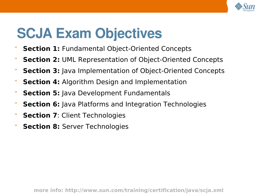

#### **SCJA Exam Objectives**

- " **Section 1:** Fundamental Object-Oriented Concepts
- " **Section 2:** UML Representation of Object-Oriented Concepts
- " **Section 3:** Java Implementation of Object-Oriented Concepts
- " **Section 4:** Algorithm Design and Implementation
- " **Section 5:** Java Development Fundamentals
- " **Section 6:** Java Platforms and Integration Technologies
- " **Section 7**: Client Technologies
- " **Section 8:** Server Technologies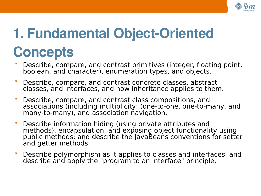

## **1. Fundamental Object-Oriented Concepts**

- " Describe, compare, and contrast primitives (integer, floating point, boolean, and character), enumeration types, and objects.
- " Describe, compare, and contrast concrete classes, abstract classes, and interfaces, and how inheritance applies to them.
- " Describe, compare, and contrast class compositions, and associations (including multiplicity: (one-to-one, one-to-many, and many-to-many), and association navigation.
- " Describe information hiding (using private attributes and methods), encapsulation, and exposing object functionality using public methods; and describe the JavaBeans conventions for setter and getter methods.
- " Describe polymorphism as it applies to classes and interfaces, and describe and apply the "program to an interface" principle.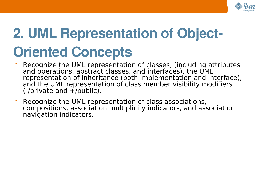

## **2. UML Representation of Object-Oriented Concepts**

- " Recognize the UML representation of classes, (including attributes and operations, abstract classes, and interfaces), the UML representation of inheritance (both implementation and interface), and the UML representation of class member visibility modifiers  $(-/$ private and  $+/$ public).
- " Recognize the UML representation of class associations, compositions, association multiplicity indicators, and association navigation indicators.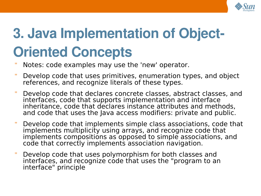

## **3. Java Implementation of Object-Oriented Concepts**

- " Notes: code examples may use the 'new' operator.
- " Develop code that uses primitives, enumeration types, and object references, and recognize literals of these types.
- " Develop code that declares concrete classes, abstract classes, and interfaces, code that supports implementation and interface inheritance, code that declares instance attributes and methods, and code that uses the Java access modifiers: private and public.
- " Develop code that implements simple class associations, code that implements multiplicity using arrays, and recognize code that implements compositions as opposed to simple associations, and code that correctly implements association navigation.
- " Develop code that uses polymorphism for both classes and interfaces, and recognize code that uses the "program to an interface" principle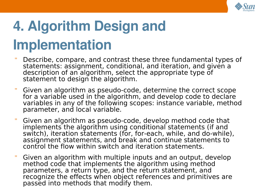

## **4. Algorithm Design and Implementation**

- Describe, compare, and contrast these three fundamental types of statements: assignment, conditional, and iteration, and given a description of an algorithm, select the appropriate type of statement to design the algorithm.
- " Given an algorithm as pseudo-code, determine the correct scope for a variable used in the algorithm, and develop code to declare variables in any of the following scopes: instance variable, method parameter, and local variable.
- " Given an algorithm as pseudo-code, develop method code that implements the algorithm using conditional statements (if and switch), iteration statements (for, for-each, while, and do-while), assignment statements, and break and continue statements to control the flow within switch and iteration statements.
- " Given an algorithm with multiple inputs and an output, develop method code that implements the algorithm using method parameters, a return type, and the return statement, and recognize the effects when object references and primitives are passed into methods that modify them.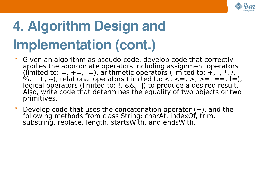

## **4. Algorithm Design and Implementation (cont.)**

- " Given an algorithm as pseudo-code, develop code that correctly applies the appropriate operators including assignment operators (limited to:  $=$ ,  $+$  $=$ ,  $-$ ), arithmetic operators (limited to:  $+$ ,  $-$ ,  $*$ , /, %,  $++$ ,  $--$ ), relational operators (limited to:  $<$ ,  $<=$ ,  $>$ ,  $>=$ ,  $==$ ,  $!=$ ), logical operators (limited to: !, &&, ||) to produce a desired result. Also, write code that determines the equality of two objects or two primitives.
- " Develop code that uses the concatenation operator  $(+)$ , and the following methods from class String: charAt, indexOf, trim, substring, replace, length, startsWith, and endsWith.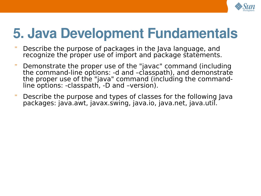

#### **5. Java Development Fundamentals**

- " Describe the purpose of packages in the Java language, and recognize the proper use of import and package statements.
- " Demonstrate the proper use of the "javac" command (including the command-line options: -d and –classpath), and demonstrate the proper use of the "java" command (including the commandline options: -classpath, -D and –version).
- " Describe the purpose and types of classes for the following Java packages: java.awt, javax.swing, java.io, java.net, java.util.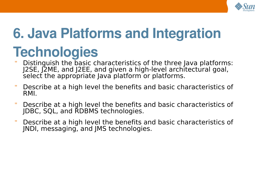

### **6. Java Platforms and Integration**

#### **Technologies**

- " Distinguish the basic characteristics of the three Java platforms: J2SE, J2ME, and J2EE, and given a high-level architectural goal, select the appropriate Java platform or platforms.
- " Describe at a high level the benefits and basic characteristics of RMI.
- " Describe at a high level the benefits and basic characteristics of JDBC, SQL, and RDBMS technologies.
- " Describe at a high level the benefits and basic characteristics of JNDI, messaging, and JMS technologies.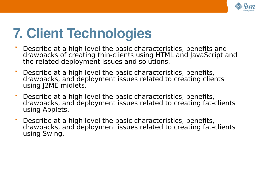

#### **7. Client Technologies**

- " Describe at a high level the basic characteristics, benefits and drawbacks of creating thin-clients using HTML and JavaScript and the related deployment issues and solutions.
- " Describe at a high level the basic characteristics, benefits, drawbacks, and deployment issues related to creating clients using J2ME midlets.
- " Describe at a high level the basic characteristics, benefits, drawbacks, and deployment issues related to creating fat-clients using Applets.
- " Describe at a high level the basic characteristics, benefits, drawbacks, and deployment issues related to creating fat-clients using Swing.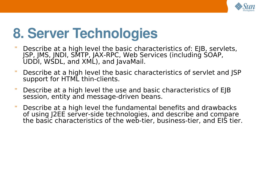

#### **8. Server Technologies**

- " Describe at a high level the basic characteristics of: EJB, servlets, JSP, JMS, JNDI, SMTP, JAX-RPC, Web Services (including SOAP, UDDI, WSDL, and XML), and JavaMail.
- " Describe at a high level the basic characteristics of servlet and JSP support for HTML thin-clients.
- " Describe at a high level the use and basic characteristics of EJB session, entity and message-driven beans.
- " Describe at a high level the fundamental benefits and drawbacks of using J2EE server-side technologies, and describe and compare the basic characteristics of the web-tier, business-tier, and EIS tier.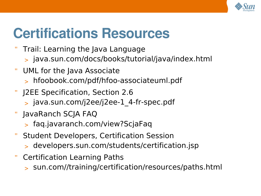

#### **Certifications Resources**

- Trail: Learning the Java Language
	- > java.sun.com/docs/books/tutorial/java/index.html
- " UML for the Java Associate
	- > hfoobook.com/pdf/hfoo-associateuml.pdf
- J2EE Specification, Section 2.6
	- > java.sun.com/j2ee/j2ee-1\_4-fr-spec.pdf
- " JavaRanch SCJA FAQ
	- > faq.javaranch.com/view?ScjaFaq
- " Student Developers, Certification Session
	- > developers.sun.com/students/certification.jsp
- " Certification Learning Paths
	- > sun.com//training/certification/resources/paths.html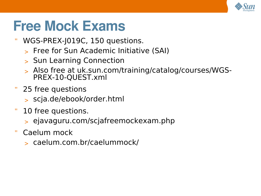

#### **Free Mock Exams**

- " WGS-PREX-J019C, 150 questions.
	- > Free for Sun Academic Initiative (SAI)
	- > Sun Learning Connection
	- > Also free at uk.sun.com/training/catalog/courses/WGS-PREX-10-QUEST.xml
- " 25 free questions
	- > scja.de/ebook/order.html
- " 10 free questions.
	- > ejavaguru.com/scjafreemockexam.php
- " Caelum mock
	- > caelum.com.br/caelummock/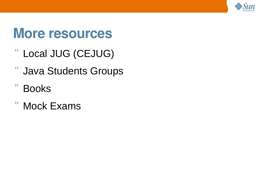

#### **More resources**

- " Local JUG (CEJUG)
- " Java Students Groups
- " Books
- " Mock Exams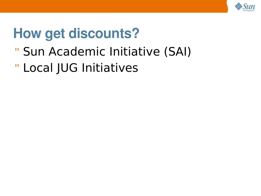

### **How get discounts?**

- " Sun Academic Initiative (SAI)
- " Local JUG Initiatives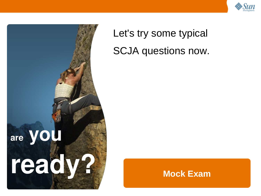



#### Let's try some typical SCJA questions now.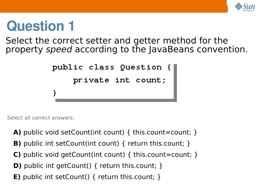

Select the correct setter and getter method for the property speed according to the JavaBeans convention.

```
public class Question {
     private int count;
}
```
Select all correct answers:

- **A)** public void setCount(int count) { this.count=count; }
- **B)** public int setCount(int count) { return this.count; }
- **C)** public void getCount(int count) { this.count=count; }
- **D)** public int getCount() { return this.count; }
- **E)** public int setCount() { return this.count; }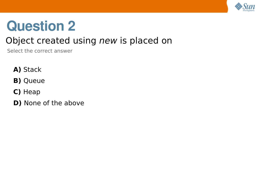

#### Object created using new is placed on

Select the correct answer

- **A)** Stack
- **B)** Queue
- **C)** Heap
- **D)** None of the above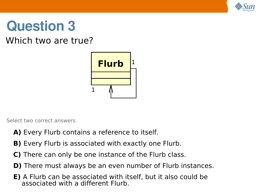

#### Which two are true?



Select two correct answers

- **A)** Every Flurb contains a reference to itself.
- **B)** Every Flurb is associated with exactly one Flurb.
- **C)** There can only be one instance of the Flurb class.
- **D)** There must always be an even number of Flurb instances.
- **E)** A Flurb can be associated with itself, but it also could be associated with a different Flurb.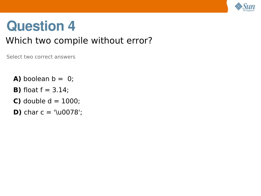

#### Which two compile without error?

Select two correct answers

- **A)** boolean  $b = 0$ ;
- **B)** float  $f = 3.14$ ;
- **C)** double  $d = 1000$ ;
- **D)** char  $c = \sqrt{u0078}$ ;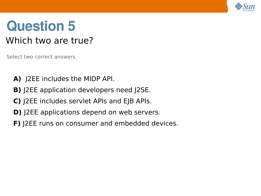

#### Which two are true?

Select two correct answers

- **A)** J2EE includes the MIDP API.
- **B)** J2EE application developers need J2SE.
- **C)** J2EE includes servlet APIs and EJB APIs.
- **D)** J2EE applications depend on web servers.
- **F)** J2EE runs on consumer and embedded devices.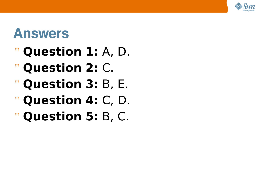

#### **Answers**

- " **Question 1:** A, D.
- " **Question 2:** C.
- " **Question 3:** B, E.
- " **Question 4:** C, D.
- " **Question 5:** B, C.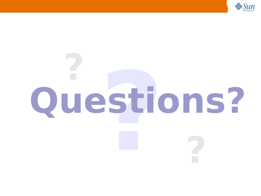

# **? Questions? ?**

**?**